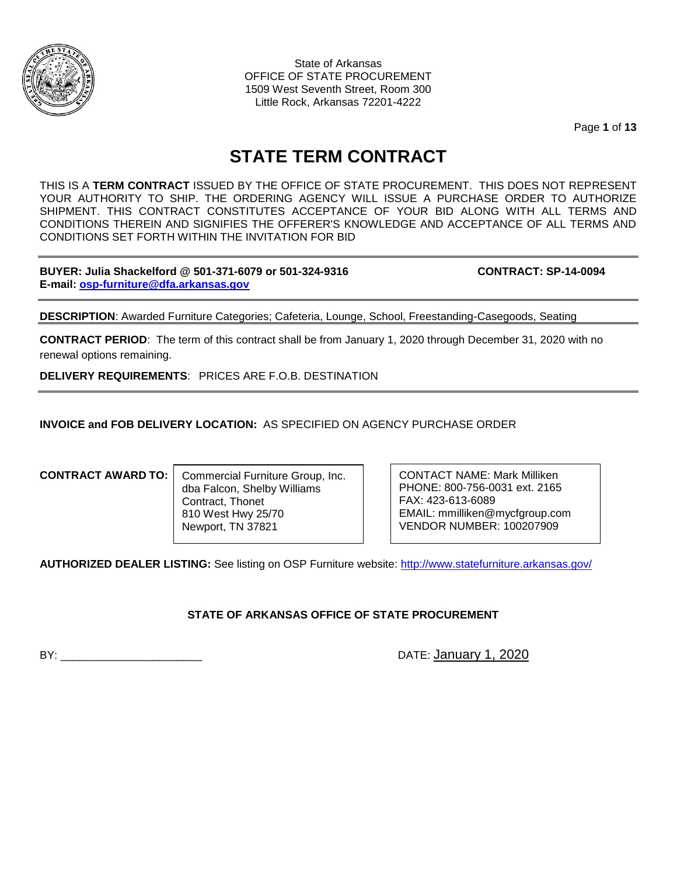

State of Arkansas OFFICE OF STATE PROCUREMENT 1509 West Seventh Street, Room 300 Little Rock, Arkansas 72201-4222

Page **1** of **13**

# **STATE TERM CONTRACT**

THIS IS A **TERM CONTRACT** ISSUED BY THE OFFICE OF STATE PROCUREMENT. THIS DOES NOT REPRESENT YOUR AUTHORITY TO SHIP. THE ORDERING AGENCY WILL ISSUE A PURCHASE ORDER TO AUTHORIZE SHIPMENT. THIS CONTRACT CONSTITUTES ACCEPTANCE OF YOUR BID ALONG WITH ALL TERMS AND CONDITIONS THEREIN AND SIGNIFIES THE OFFERER'S KNOWLEDGE AND ACCEPTANCE OF ALL TERMS AND CONDITIONS SET FORTH WITHIN THE INVITATION FOR BID

**BUYER: Julia Shackelford @ 501-371-6079 or 501-324-9316 CONTRACT: SP-14-0094 E-mail: [osp-furniture@dfa.arkansas.gov](mailto:osp-furniture@dfa.arkansas.gov)**

**DESCRIPTION**: Awarded Furniture Categories; Cafeteria, Lounge, School, Freestanding-Casegoods, Seating

**CONTRACT PERIOD**: The term of this contract shall be from January 1, 2020 through December 31, 2020 with no renewal options remaining.

**DELIVERY REQUIREMENTS**: PRICES ARE F.O.B. DESTINATION

**INVOICE and FOB DELIVERY LOCATION:** AS SPECIFIED ON AGENCY PURCHASE ORDER

## **CONTRACT AWARD TO:**

Commercial Furniture Group, Inc. dba Falcon, Shelby Williams Contract, Thonet 810 West Hwy 25/70 Newport, TN 37821

CONTACT NAME: Mark Milliken PHONE: 800-756-0031 ext. 2165 FAX: 423-613-6089 EMAIL: mmilliken@mycfgroup.com VENDOR NUMBER: 100207909

**AUTHORIZED DEALER LISTING:** See listing on OSP Furniture website:<http://www.statefurniture.arkansas.gov/>

**STATE OF ARKANSAS OFFICE OF STATE PROCUREMENT**

BY: \_\_\_\_\_\_\_\_\_\_\_\_\_\_\_\_\_\_\_\_\_\_\_ DATE: January 1, 2020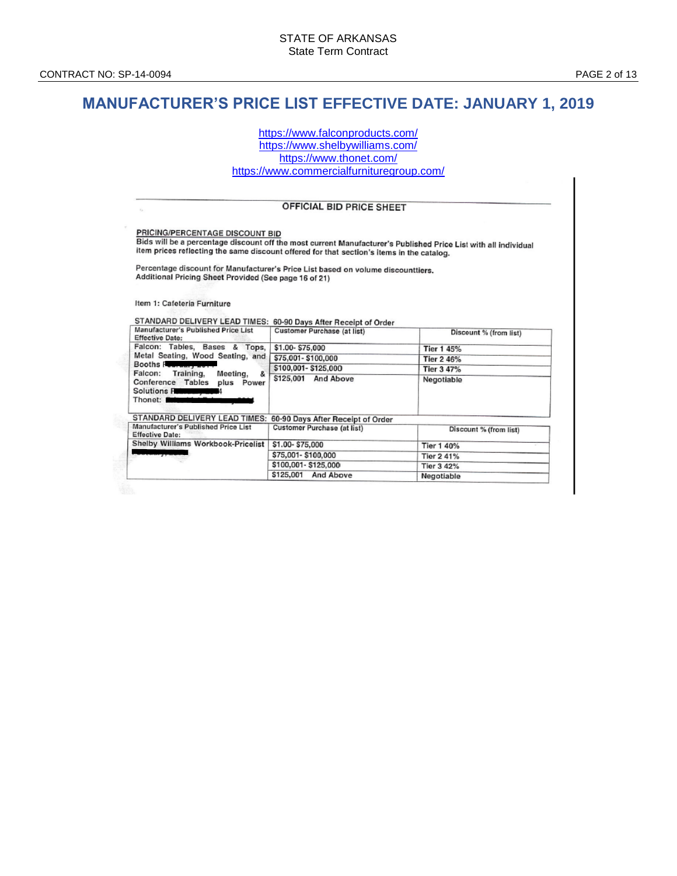# **MANUFACTURER'S PRICE LIST EFFECTIVE DATE: JANUARY 1, 2019**

<https://www.falconproducts.com/> <https://www.shelbywilliams.com/> <https://www.thonet.com/> <https://www.commercialfurnituregroup.com/>

#### **OFFICIAL BID PRICE SHEET**

PRICING/PERCENTAGE DISCOUNT BID Bids will be a percentage discount off the most current Manufacturer's Published Price List with all individual the time of personality associated in the most carrent manufacturer's Published Price<br>Item prices reflecting the same discount offered for that section's items in the catalog.

Percentage discount for Manufacturer's Price List based on volume discounttiers. Additional Pricing Sheet Provided (See page 16 of 21)

Item 1: Cafeteria Furniture

STANDARD DELIVERY LEAD TIMES: 60-90 Days After Receipt of Order Manufacturer's Published Price List Customer Purchase (at list) Discount % (from list) **Effective Date:** Falcon: Tables, Bases & Tops, \$1.00-\$75,000 **Tier 1 45%** Metal Seating, Wood Seating, and \$75,001-\$100,000 Tier 2 46% Booths Fe \$100,001-\$125,000 Tier 3 47% Falcon: Training, Meeting, & \$125,001 And Above Negotiable Conference Tables plus Power Solutions For Thonet: STANDARD DELIVERY LEAD TIMES: 60-90 Days After Receipt of Order Manufacturer's Published Price List Customer Purchase (at list) Discount % (from list) **Effective Date:** Shelby Williams Workbook-Pricelist \$1.00-\$75,000 Tier 1 40% \$75,001-\$100,000 Tier 2 41% \$100,001-\$125,000 Tier 3 42% \$125,001 And Above Negotiable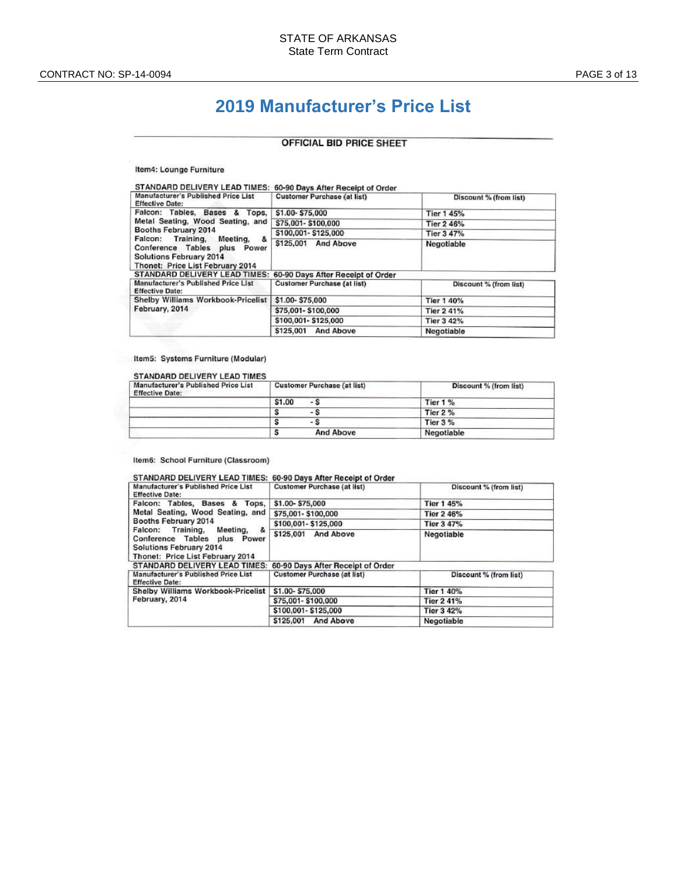# **2019 Manufacturer's Price List**

## **OFFICIAL BID PRICE SHEET**

#### Item4: Lounge Furniture

| STANDARD DELIVERY LEAD TIMES: 60-90 Days After Receipt of Order                                                                                                                                                             |                                    |                        |
|-----------------------------------------------------------------------------------------------------------------------------------------------------------------------------------------------------------------------------|------------------------------------|------------------------|
| Manufacturer's Published Price List<br><b>Effective Date:</b>                                                                                                                                                               | <b>Customer Purchase (at list)</b> | Discount % (from list) |
| Falcon: Tables, Bases & Tops,<br>Metal Seating, Wood Seating, and<br>Booths February 2014<br>Falcon: Training, Meeting,<br>&<br>Conference Tables plus Power<br>Solutions February 2014<br>Thonet: Price List February 2014 | \$1.00-\$75.000                    | Tier 1 45%             |
|                                                                                                                                                                                                                             | \$75,001-\$100,000                 | Tier 2 46%             |
|                                                                                                                                                                                                                             | \$100,001-\$125,000                | Tier 3 47%             |
|                                                                                                                                                                                                                             | \$125,001 And Above                | Negotiable             |
| STANDARD DELIVERY LEAD TIMES: 60-90 Days After Receipt of Order                                                                                                                                                             |                                    |                        |
| Manufacturer's Published Price List<br><b>Effective Date:</b>                                                                                                                                                               | <b>Customer Purchase (at list)</b> | Discount % (from list) |
| Shelby Williams Workbook-Pricelist<br>February, 2014                                                                                                                                                                        | \$1.00-\$75,000                    | Tier 1 40%             |
|                                                                                                                                                                                                                             | \$75,001-\$100,000                 | Tier 2 41%             |
|                                                                                                                                                                                                                             | \$100,001-\$125,000                | Tier 3 42%             |
|                                                                                                                                                                                                                             | \$125,001 And Above                | Negotiable             |
|                                                                                                                                                                                                                             |                                    |                        |

#### Item5: Systems Furniture (Modular)

#### STANDARD DELIVERY LEAD TIMES

| Manufacturer's Published Price List<br><b>Effective Date:</b> | <b>Customer Purchase (at list)</b> | Discount % (from list) |
|---------------------------------------------------------------|------------------------------------|------------------------|
|                                                               | \$1.00<br>- S                      | Tier 1 %               |
|                                                               | - s                                | <b>Tier 2 %</b>        |
|                                                               | $-$ S                              | Tier 3 %               |
|                                                               | <b>And Above</b>                   | Negotiable             |

#### Item6: School Furniture (Classroom)

| STANDARD DELIVERY LEAD TIMES: 60-90 Days After Receipt of Order                                                                                                                                                          |                                    |                        |
|--------------------------------------------------------------------------------------------------------------------------------------------------------------------------------------------------------------------------|------------------------------------|------------------------|
| Manufacturer's Published Price List<br><b>Effective Date:</b>                                                                                                                                                            | <b>Customer Purchase (at list)</b> | Discount % (from list) |
| Falcon: Tables, Bases & Tops,<br>Metal Seating, Wood Seating, and<br>Booths February 2014<br>Falcon: Training, Meeting, &<br>Conference Tables plus Power<br>Solutions February 2014<br>Thonet: Price List February 2014 | \$1.00-\$75,000                    | <b>Tier 1 45%</b>      |
|                                                                                                                                                                                                                          | \$75,001-\$100,000                 | Tier 2 46%             |
|                                                                                                                                                                                                                          | \$100,001-\$125,000                | Tier 3 47%             |
|                                                                                                                                                                                                                          | \$125,001 And Above                | Negotiable             |
| STANDARD DELIVERY LEAD TIMES: 60-90 Days After Receipt of Order                                                                                                                                                          |                                    |                        |
| Manufacturer's Published Price List<br><b>Effective Date:</b>                                                                                                                                                            | <b>Customer Purchase (at list)</b> | Discount % (from list) |
| Shelby Williams Workbook-Pricelist<br>February, 2014                                                                                                                                                                     | \$1.00-\$75,000                    | Tier 1 40%             |
|                                                                                                                                                                                                                          | \$75,001-\$100,000                 | Tier 2 41%             |
|                                                                                                                                                                                                                          | \$100,001-\$125,000                | Tier 3 42%             |
|                                                                                                                                                                                                                          | \$125,001 And Above                | Negotiable             |
|                                                                                                                                                                                                                          |                                    |                        |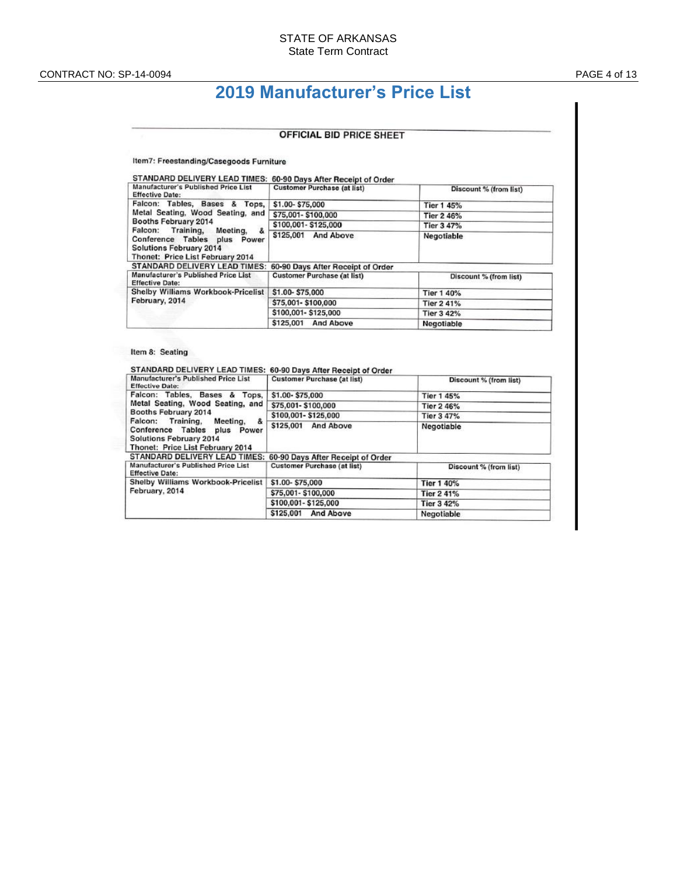# **2019 Manufacturer's Price List**

#### **OFFICIAL BID PRICE SHEET**

Item7: Freestanding/Casegoods Furniture

| STANDARD DELIVERY LEAD TIMES: 60-90 Days After Receipt of Order                                                                                                                                                              |                                    |                        |
|------------------------------------------------------------------------------------------------------------------------------------------------------------------------------------------------------------------------------|------------------------------------|------------------------|
| Manufacturer's Published Price List<br><b>Effective Date:</b>                                                                                                                                                                | <b>Customer Purchase (at list)</b> | Discount % (from list) |
| Falcon: Tables, Bases & Tops,<br>Metal Seating, Wood Seating, and<br>Booths February 2014<br>Falcon: Training, Meeting,<br>å.<br>Conference Tables plus Power<br>Solutions February 2014<br>Thonet: Price List February 2014 | \$1.00-\$75,000                    | Tier 1 45%             |
|                                                                                                                                                                                                                              | \$75,001-\$100,000                 | Tier 2 46%             |
|                                                                                                                                                                                                                              | \$100,001-\$125,000                | Tier 3 47%             |
|                                                                                                                                                                                                                              | \$125,001 And Above                | Negotiable             |
| STANDARD DELIVERY LEAD TIMES:                                                                                                                                                                                                | 60-90 Days After Receipt of Order  |                        |
| Manufacturer's Published Price List<br><b>Effective Date:</b>                                                                                                                                                                | <b>Customer Purchase (at list)</b> | Discount % (from list) |
| Shelby Williams Workbook-Pricelist<br>February, 2014                                                                                                                                                                         | \$1.00-\$75,000                    | Tier 1 40%             |
|                                                                                                                                                                                                                              | \$75,001-\$100,000                 | Tier 2 41%             |
|                                                                                                                                                                                                                              | \$100,001-\$125,000                | Tier 3 42%             |
|                                                                                                                                                                                                                              | \$125,001 And Above                | Negotiable             |

### Item 8: Seating

| Manufacturer's Published Price List<br><b>Effective Date:</b>                                                                                                                                                                      | <b>Customer Purchase (at list)</b> | Discount % (from list) |
|------------------------------------------------------------------------------------------------------------------------------------------------------------------------------------------------------------------------------------|------------------------------------|------------------------|
| Falcon: Tables, Bases & Tops,<br>Metal Seating, Wood Seating, and<br>Booths February 2014<br>Falcon: Training, Meeting,<br>&<br>Conference Tables plus Power<br><b>Solutions February 2014</b><br>Thonet: Price List February 2014 | \$1.00-\$75,000                    | Tier 1 45%             |
|                                                                                                                                                                                                                                    | \$75,001-\$100,000                 | Tier 2 46%             |
|                                                                                                                                                                                                                                    | \$100,001-\$125,000                | Tier 3 47%             |
|                                                                                                                                                                                                                                    | \$125,001 And Above                | Negotiable             |
| STANDARD DELIVERY LEAD TIMES: 60-90 Days After Receipt of Order                                                                                                                                                                    |                                    |                        |
| Manufacturer's Published Price List<br><b>Effective Date:</b>                                                                                                                                                                      | <b>Customer Purchase (at list)</b> | Discount % (from list) |
| Shelby Williams Workbook-Pricelist<br>February, 2014                                                                                                                                                                               | \$1.00-\$75,000                    | <b>Tier 1 40%</b>      |
|                                                                                                                                                                                                                                    | \$75,001-\$100,000                 | <b>Tier 2 41%</b>      |
|                                                                                                                                                                                                                                    | \$100,001-\$125,000                | <b>Tier 3 42%</b>      |
|                                                                                                                                                                                                                                    | \$125,001<br><b>And Above</b>      | Negotiable             |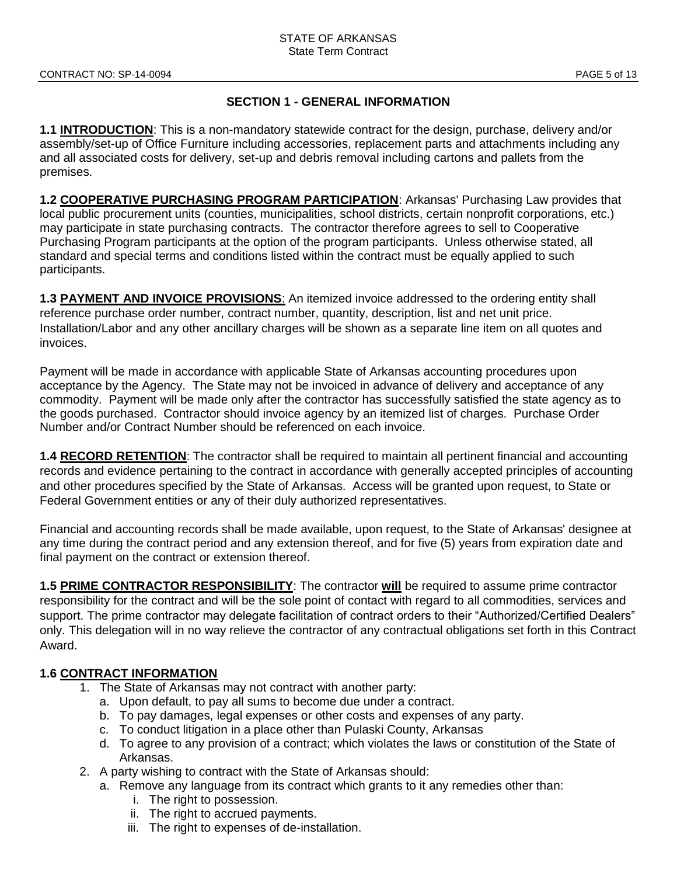# **SECTION 1 - GENERAL INFORMATION**

**1.1 INTRODUCTION**: This is a non-mandatory statewide contract for the design, purchase, delivery and/or assembly/set-up of Office Furniture including accessories, replacement parts and attachments including any and all associated costs for delivery, set-up and debris removal including cartons and pallets from the premises.

**1.2 COOPERATIVE PURCHASING PROGRAM PARTICIPATION**: Arkansas' Purchasing Law provides that local public procurement units (counties, municipalities, school districts, certain nonprofit corporations, etc.) may participate in state purchasing contracts. The contractor therefore agrees to sell to Cooperative Purchasing Program participants at the option of the program participants. Unless otherwise stated, all standard and special terms and conditions listed within the contract must be equally applied to such participants.

**1.3 PAYMENT AND INVOICE PROVISIONS**: An itemized invoice addressed to the ordering entity shall reference purchase order number, contract number, quantity, description, list and net unit price. Installation/Labor and any other ancillary charges will be shown as a separate line item on all quotes and invoices.

Payment will be made in accordance with applicable State of Arkansas accounting procedures upon acceptance by the Agency. The State may not be invoiced in advance of delivery and acceptance of any commodity. Payment will be made only after the contractor has successfully satisfied the state agency as to the goods purchased. Contractor should invoice agency by an itemized list of charges. Purchase Order Number and/or Contract Number should be referenced on each invoice.

**1.4 RECORD RETENTION**: The contractor shall be required to maintain all pertinent financial and accounting records and evidence pertaining to the contract in accordance with generally accepted principles of accounting and other procedures specified by the State of Arkansas. Access will be granted upon request, to State or Federal Government entities or any of their duly authorized representatives.

Financial and accounting records shall be made available, upon request, to the State of Arkansas' designee at any time during the contract period and any extension thereof, and for five (5) years from expiration date and final payment on the contract or extension thereof.

**1.5 PRIME CONTRACTOR RESPONSIBILITY**: The contractor **will** be required to assume prime contractor responsibility for the contract and will be the sole point of contact with regard to all commodities, services and support. The prime contractor may delegate facilitation of contract orders to their "Authorized/Certified Dealers" only. This delegation will in no way relieve the contractor of any contractual obligations set forth in this Contract Award.

# **1.6 CONTRACT INFORMATION**

- 1. The State of Arkansas may not contract with another party:
	- a. Upon default, to pay all sums to become due under a contract.
	- b. To pay damages, legal expenses or other costs and expenses of any party.
	- c. To conduct litigation in a place other than Pulaski County, Arkansas
	- d. To agree to any provision of a contract; which violates the laws or constitution of the State of Arkansas.
- 2. A party wishing to contract with the State of Arkansas should:
	- a. Remove any language from its contract which grants to it any remedies other than:
		- i. The right to possession.
		- ii. The right to accrued payments.
		- iii. The right to expenses of de-installation.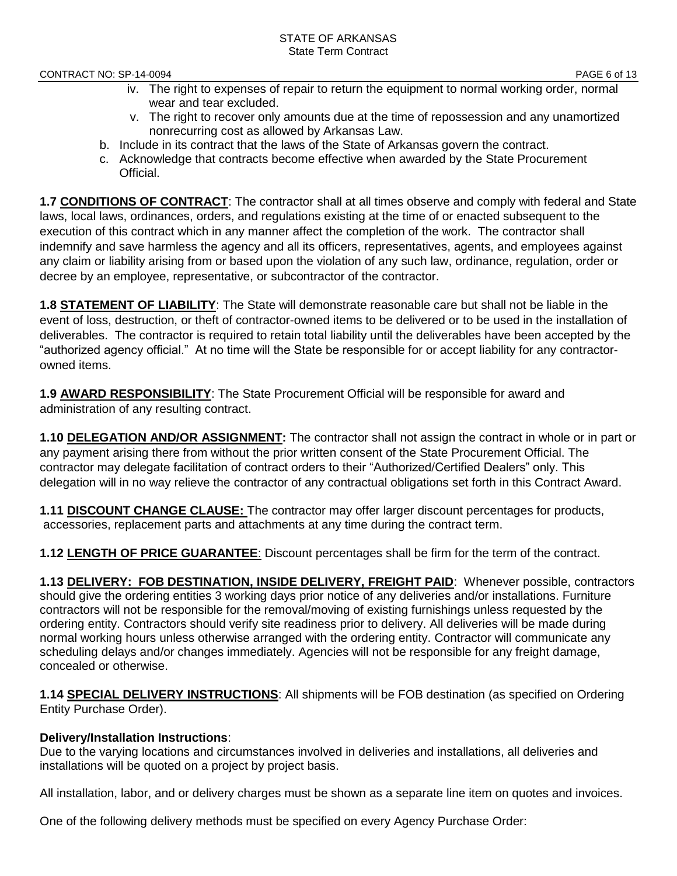- iv. The right to expenses of repair to return the equipment to normal working order, normal wear and tear excluded.
- v. The right to recover only amounts due at the time of repossession and any unamortized nonrecurring cost as allowed by Arkansas Law.
- b. Include in its contract that the laws of the State of Arkansas govern the contract.
- c. Acknowledge that contracts become effective when awarded by the State Procurement Official.

**1.7 CONDITIONS OF CONTRACT**: The contractor shall at all times observe and comply with federal and State laws, local laws, ordinances, orders, and regulations existing at the time of or enacted subsequent to the execution of this contract which in any manner affect the completion of the work. The contractor shall indemnify and save harmless the agency and all its officers, representatives, agents, and employees against any claim or liability arising from or based upon the violation of any such law, ordinance, regulation, order or decree by an employee, representative, or subcontractor of the contractor.

**1.8 STATEMENT OF LIABILITY**: The State will demonstrate reasonable care but shall not be liable in the event of loss, destruction, or theft of contractor-owned items to be delivered or to be used in the installation of deliverables. The contractor is required to retain total liability until the deliverables have been accepted by the "authorized agency official." At no time will the State be responsible for or accept liability for any contractorowned items.

**1.9 AWARD RESPONSIBILITY**: The State Procurement Official will be responsible for award and administration of any resulting contract.

**1.10 DELEGATION AND/OR ASSIGNMENT:** The contractor shall not assign the contract in whole or in part or any payment arising there from without the prior written consent of the State Procurement Official. The contractor may delegate facilitation of contract orders to their "Authorized/Certified Dealers" only. This delegation will in no way relieve the contractor of any contractual obligations set forth in this Contract Award.

**1.11 DISCOUNT CHANGE CLAUSE:** The contractor may offer larger discount percentages for products, accessories, replacement parts and attachments at any time during the contract term.

**1.12 LENGTH OF PRICE GUARANTEE**: Discount percentages shall be firm for the term of the contract.

**1.13 DELIVERY: FOB DESTINATION, INSIDE DELIVERY, FREIGHT PAID**: Whenever possible, contractors should give the ordering entities 3 working days prior notice of any deliveries and/or installations. Furniture contractors will not be responsible for the removal/moving of existing furnishings unless requested by the ordering entity. Contractors should verify site readiness prior to delivery. All deliveries will be made during normal working hours unless otherwise arranged with the ordering entity. Contractor will communicate any scheduling delays and/or changes immediately. Agencies will not be responsible for any freight damage, concealed or otherwise.

**1.14 SPECIAL DELIVERY INSTRUCTIONS**: All shipments will be FOB destination (as specified on Ordering Entity Purchase Order).

# **Delivery/Installation Instructions**:

Due to the varying locations and circumstances involved in deliveries and installations, all deliveries and installations will be quoted on a project by project basis.

All installation, labor, and or delivery charges must be shown as a separate line item on quotes and invoices.

One of the following delivery methods must be specified on every Agency Purchase Order: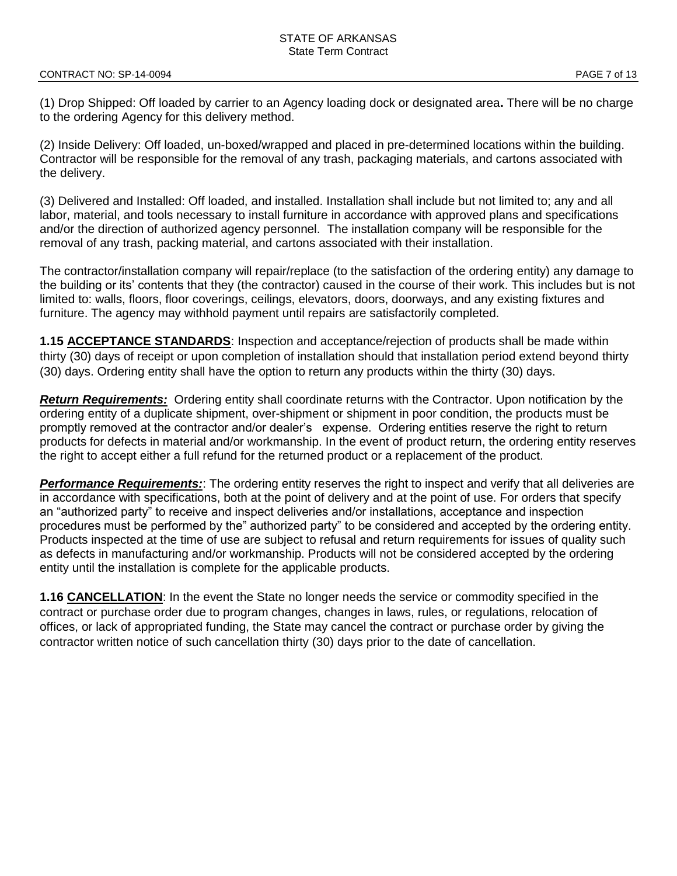(1) Drop Shipped: Off loaded by carrier to an Agency loading dock or designated area**.** There will be no charge to the ordering Agency for this delivery method.

(2) Inside Delivery: Off loaded, un-boxed/wrapped and placed in pre-determined locations within the building. Contractor will be responsible for the removal of any trash, packaging materials, and cartons associated with the delivery.

(3) Delivered and Installed: Off loaded, and installed. Installation shall include but not limited to; any and all labor, material, and tools necessary to install furniture in accordance with approved plans and specifications and/or the direction of authorized agency personnel. The installation company will be responsible for the removal of any trash, packing material, and cartons associated with their installation.

The contractor/installation company will repair/replace (to the satisfaction of the ordering entity) any damage to the building or its' contents that they (the contractor) caused in the course of their work. This includes but is not limited to: walls, floors, floor coverings, ceilings, elevators, doors, doorways, and any existing fixtures and furniture. The agency may withhold payment until repairs are satisfactorily completed.

**1.15 ACCEPTANCE STANDARDS**: Inspection and acceptance/rejection of products shall be made within thirty (30) days of receipt or upon completion of installation should that installation period extend beyond thirty (30) days. Ordering entity shall have the option to return any products within the thirty (30) days.

*Return Requirements:* Ordering entity shall coordinate returns with the Contractor. Upon notification by the ordering entity of a duplicate shipment, over-shipment or shipment in poor condition, the products must be promptly removed at the contractor and/or dealer's expense. Ordering entities reserve the right to return products for defects in material and/or workmanship. In the event of product return, the ordering entity reserves the right to accept either a full refund for the returned product or a replacement of the product.

*Performance Requirements:*: The ordering entity reserves the right to inspect and verify that all deliveries are in accordance with specifications, both at the point of delivery and at the point of use. For orders that specify an "authorized party" to receive and inspect deliveries and/or installations, acceptance and inspection procedures must be performed by the" authorized party" to be considered and accepted by the ordering entity. Products inspected at the time of use are subject to refusal and return requirements for issues of quality such as defects in manufacturing and/or workmanship. Products will not be considered accepted by the ordering entity until the installation is complete for the applicable products.

**1.16 CANCELLATION**: In the event the State no longer needs the service or commodity specified in the contract or purchase order due to program changes, changes in laws, rules, or regulations, relocation of offices, or lack of appropriated funding, the State may cancel the contract or purchase order by giving the contractor written notice of such cancellation thirty (30) days prior to the date of cancellation.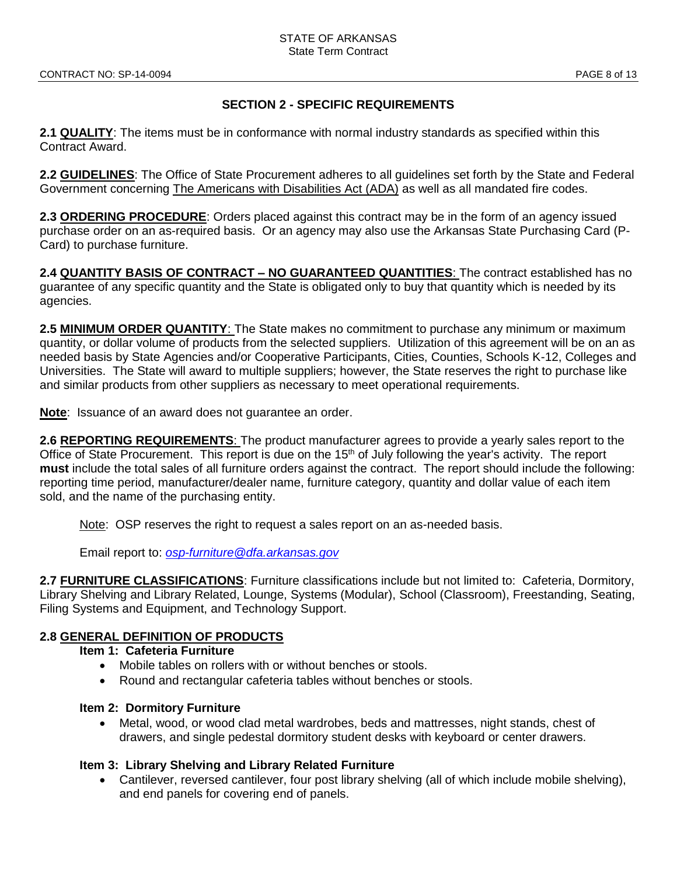# **SECTION 2 - SPECIFIC REQUIREMENTS**

**2.1 QUALITY**: The items must be in conformance with normal industry standards as specified within this Contract Award.

**2.2 GUIDELINES**: The Office of State Procurement adheres to all guidelines set forth by the State and Federal Government concerning The Americans with Disabilities Act (ADA) as well as all mandated fire codes.

**2.3 ORDERING PROCEDURE**: Orders placed against this contract may be in the form of an agency issued purchase order on an as-required basis. Or an agency may also use the Arkansas State Purchasing Card (P-Card) to purchase furniture.

**2.4 QUANTITY BASIS OF CONTRACT – NO GUARANTEED QUANTITIES**: The contract established has no guarantee of any specific quantity and the State is obligated only to buy that quantity which is needed by its agencies.

**2.5 MINIMUM ORDER QUANTITY**: The State makes no commitment to purchase any minimum or maximum quantity, or dollar volume of products from the selected suppliers. Utilization of this agreement will be on an as needed basis by State Agencies and/or Cooperative Participants, Cities, Counties, Schools K-12, Colleges and Universities. The State will award to multiple suppliers; however, the State reserves the right to purchase like and similar products from other suppliers as necessary to meet operational requirements.

**Note**: Issuance of an award does not guarantee an order.

**2.6 REPORTING REQUIREMENTS**: The product manufacturer agrees to provide a yearly sales report to the Office of State Procurement. This report is due on the 15<sup>th</sup> of July following the year's activity. The report **must** include the total sales of all furniture orders against the contract. The report should include the following: reporting time period, manufacturer/dealer name, furniture category, quantity and dollar value of each item sold, and the name of the purchasing entity.

Note: OSP reserves the right to request a sales report on an as-needed basis.

Email report to: *[osp-furniture@dfa.arkansas.gov](mailto:osp-furniture@dfa.arkansas.gov)*

**2.7 FURNITURE CLASSIFICATIONS**: Furniture classifications include but not limited to: Cafeteria, Dormitory, Library Shelving and Library Related, Lounge, Systems (Modular), School (Classroom), Freestanding, Seating, Filing Systems and Equipment, and Technology Support.

# **2.8 GENERAL DEFINITION OF PRODUCTS**

- **Item 1: Cafeteria Furniture** 
	- Mobile tables on rollers with or without benches or stools.
	- Round and rectangular cafeteria tables without benches or stools.

## **Item 2: Dormitory Furniture**

• Metal, wood, or wood clad metal wardrobes, beds and mattresses, night stands, chest of drawers, and single pedestal dormitory student desks with keyboard or center drawers.

## **Item 3: Library Shelving and Library Related Furniture**

• Cantilever, reversed cantilever, four post library shelving (all of which include mobile shelving), and end panels for covering end of panels.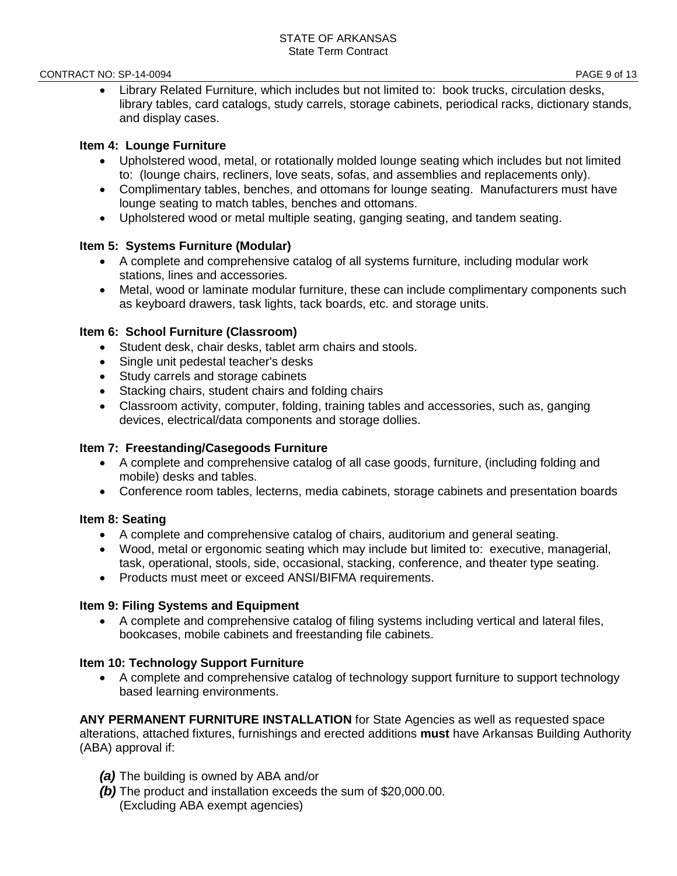#### CONTRACT NO: SP-14-0094 PAGE 9 of 13

• Library Related Furniture, which includes but not limited to: book trucks, circulation desks, library tables, card catalogs, study carrels, storage cabinets, periodical racks, dictionary stands, and display cases.

# **Item 4: Lounge Furniture**

- Upholstered wood, metal, or rotationally molded lounge seating which includes but not limited to: (lounge chairs, recliners, love seats, sofas, and assemblies and replacements only).
- Complimentary tables, benches, and ottomans for lounge seating. Manufacturers must have lounge seating to match tables, benches and ottomans.
- Upholstered wood or metal multiple seating, ganging seating, and tandem seating.

# **Item 5: Systems Furniture (Modular)**

- A complete and comprehensive catalog of all systems furniture, including modular work stations, lines and accessories.
- Metal, wood or laminate modular furniture, these can include complimentary components such as keyboard drawers, task lights, tack boards, etc. and storage units.

# **Item 6: School Furniture (Classroom)**

- Student desk, chair desks, tablet arm chairs and stools.
- Single unit pedestal teacher's desks
- Study carrels and storage cabinets
- Stacking chairs, student chairs and folding chairs
- Classroom activity, computer, folding, training tables and accessories, such as, ganging devices, electrical/data components and storage dollies.

# **Item 7: Freestanding/Casegoods Furniture**

- A complete and comprehensive catalog of all case goods, furniture, (including folding and mobile) desks and tables.
- Conference room tables, lecterns, media cabinets, storage cabinets and presentation boards

## **Item 8: Seating**

- A complete and comprehensive catalog of chairs, auditorium and general seating.
- Wood, metal or ergonomic seating which may include but limited to: executive, managerial, task, operational, stools, side, occasional, stacking, conference, and theater type seating.
- Products must meet or exceed ANSI/BIFMA requirements.

## **Item 9: Filing Systems and Equipment**

• A complete and comprehensive catalog of filing systems including vertical and lateral files, bookcases, mobile cabinets and freestanding file cabinets.

# **Item 10: Technology Support Furniture**

• A complete and comprehensive catalog of technology support furniture to support technology based learning environments.

**ANY PERMANENT FURNITURE INSTALLATION** for State Agencies as well as requested space alterations, attached fixtures, furnishings and erected additions **must** have Arkansas Building Authority (ABA) approval if:

- *(a)* The building is owned by ABA and/or
- *(b)* The product and installation exceeds the sum of \$20,000.00. (Excluding ABA exempt agencies)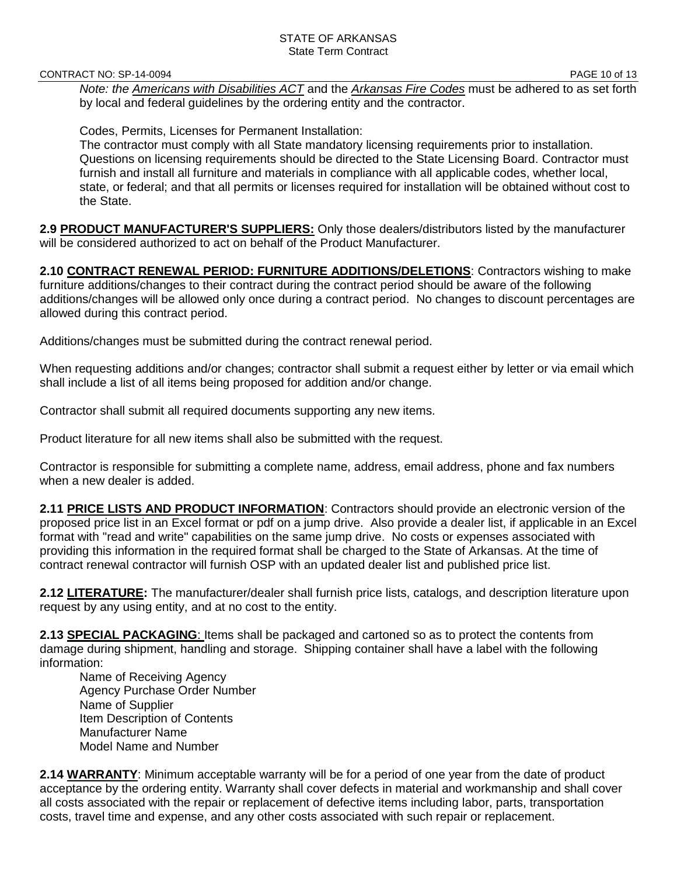CONTRACT NO: SP-14-0094 **PAGE 10 of 13** 

*Note: the Americans with Disabilities ACT* and the *Arkansas Fire Codes* must be adhered to as set forth by local and federal guidelines by the ordering entity and the contractor.

Codes, Permits, Licenses for Permanent Installation:

The contractor must comply with all State mandatory licensing requirements prior to installation. Questions on licensing requirements should be directed to the State Licensing Board. Contractor must furnish and install all furniture and materials in compliance with all applicable codes, whether local, state, or federal; and that all permits or licenses required for installation will be obtained without cost to the State.

**2.9 PRODUCT MANUFACTURER'S SUPPLIERS:** Only those dealers/distributors listed by the manufacturer will be considered authorized to act on behalf of the Product Manufacturer.

**2.10 CONTRACT RENEWAL PERIOD: FURNITURE ADDITIONS/DELETIONS**: Contractors wishing to make furniture additions/changes to their contract during the contract period should be aware of the following additions/changes will be allowed only once during a contract period. No changes to discount percentages are allowed during this contract period.

Additions/changes must be submitted during the contract renewal period.

When requesting additions and/or changes; contractor shall submit a request either by letter or via email which shall include a list of all items being proposed for addition and/or change.

Contractor shall submit all required documents supporting any new items.

Product literature for all new items shall also be submitted with the request.

Contractor is responsible for submitting a complete name, address, email address, phone and fax numbers when a new dealer is added.

**2.11 PRICE LISTS AND PRODUCT INFORMATION**: Contractors should provide an electronic version of the proposed price list in an Excel format or pdf on a jump drive. Also provide a dealer list, if applicable in an Excel format with "read and write" capabilities on the same jump drive. No costs or expenses associated with providing this information in the required format shall be charged to the State of Arkansas. At the time of contract renewal contractor will furnish OSP with an updated dealer list and published price list.

**2.12 LITERATURE:** The manufacturer/dealer shall furnish price lists, catalogs, and description literature upon request by any using entity, and at no cost to the entity.

**2.13 SPECIAL PACKAGING**: Items shall be packaged and cartoned so as to protect the contents from damage during shipment, handling and storage. Shipping container shall have a label with the following information:

Name of Receiving Agency Agency Purchase Order Number Name of Supplier Item Description of Contents Manufacturer Name Model Name and Number

**2.14 WARRANTY**: Minimum acceptable warranty will be for a period of one year from the date of product acceptance by the ordering entity. Warranty shall cover defects in material and workmanship and shall cover all costs associated with the repair or replacement of defective items including labor, parts, transportation costs, travel time and expense, and any other costs associated with such repair or replacement.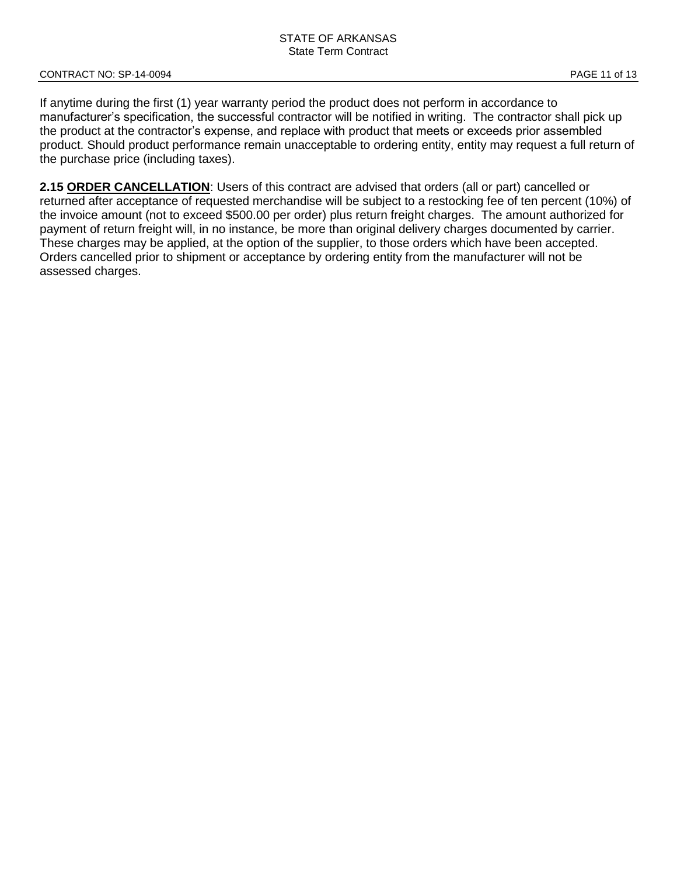If anytime during the first (1) year warranty period the product does not perform in accordance to manufacturer's specification, the successful contractor will be notified in writing. The contractor shall pick up the product at the contractor's expense, and replace with product that meets or exceeds prior assembled product. Should product performance remain unacceptable to ordering entity, entity may request a full return of the purchase price (including taxes).

**2.15 ORDER CANCELLATION**: Users of this contract are advised that orders (all or part) cancelled or returned after acceptance of requested merchandise will be subject to a restocking fee of ten percent (10%) of the invoice amount (not to exceed \$500.00 per order) plus return freight charges. The amount authorized for payment of return freight will, in no instance, be more than original delivery charges documented by carrier. These charges may be applied, at the option of the supplier, to those orders which have been accepted. Orders cancelled prior to shipment or acceptance by ordering entity from the manufacturer will not be assessed charges.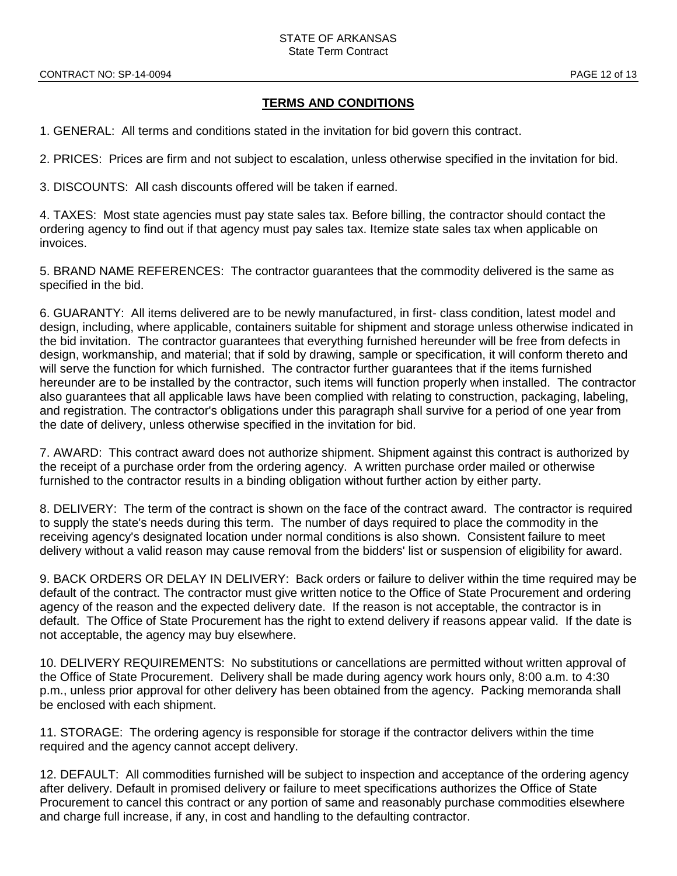# **TERMS AND CONDITIONS**

1. GENERAL: All terms and conditions stated in the invitation for bid govern this contract.

2. PRICES: Prices are firm and not subject to escalation, unless otherwise specified in the invitation for bid.

3. DISCOUNTS: All cash discounts offered will be taken if earned.

4. TAXES: Most state agencies must pay state sales tax. Before billing, the contractor should contact the ordering agency to find out if that agency must pay sales tax. Itemize state sales tax when applicable on invoices.

5. BRAND NAME REFERENCES: The contractor guarantees that the commodity delivered is the same as specified in the bid.

6. GUARANTY: All items delivered are to be newly manufactured, in first- class condition, latest model and design, including, where applicable, containers suitable for shipment and storage unless otherwise indicated in the bid invitation. The contractor guarantees that everything furnished hereunder will be free from defects in design, workmanship, and material; that if sold by drawing, sample or specification, it will conform thereto and will serve the function for which furnished. The contractor further guarantees that if the items furnished hereunder are to be installed by the contractor, such items will function properly when installed. The contractor also guarantees that all applicable laws have been complied with relating to construction, packaging, labeling, and registration. The contractor's obligations under this paragraph shall survive for a period of one year from the date of delivery, unless otherwise specified in the invitation for bid.

7. AWARD: This contract award does not authorize shipment. Shipment against this contract is authorized by the receipt of a purchase order from the ordering agency. A written purchase order mailed or otherwise furnished to the contractor results in a binding obligation without further action by either party.

8. DELIVERY: The term of the contract is shown on the face of the contract award. The contractor is required to supply the state's needs during this term. The number of days required to place the commodity in the receiving agency's designated location under normal conditions is also shown. Consistent failure to meet delivery without a valid reason may cause removal from the bidders' list or suspension of eligibility for award.

9. BACK ORDERS OR DELAY IN DELIVERY: Back orders or failure to deliver within the time required may be default of the contract. The contractor must give written notice to the Office of State Procurement and ordering agency of the reason and the expected delivery date. If the reason is not acceptable, the contractor is in default. The Office of State Procurement has the right to extend delivery if reasons appear valid. If the date is not acceptable, the agency may buy elsewhere.

10. DELIVERY REQUIREMENTS: No substitutions or cancellations are permitted without written approval of the Office of State Procurement. Delivery shall be made during agency work hours only, 8:00 a.m. to 4:30 p.m., unless prior approval for other delivery has been obtained from the agency. Packing memoranda shall be enclosed with each shipment.

11. STORAGE: The ordering agency is responsible for storage if the contractor delivers within the time required and the agency cannot accept delivery.

12. DEFAULT: All commodities furnished will be subject to inspection and acceptance of the ordering agency after delivery. Default in promised delivery or failure to meet specifications authorizes the Office of State Procurement to cancel this contract or any portion of same and reasonably purchase commodities elsewhere and charge full increase, if any, in cost and handling to the defaulting contractor.